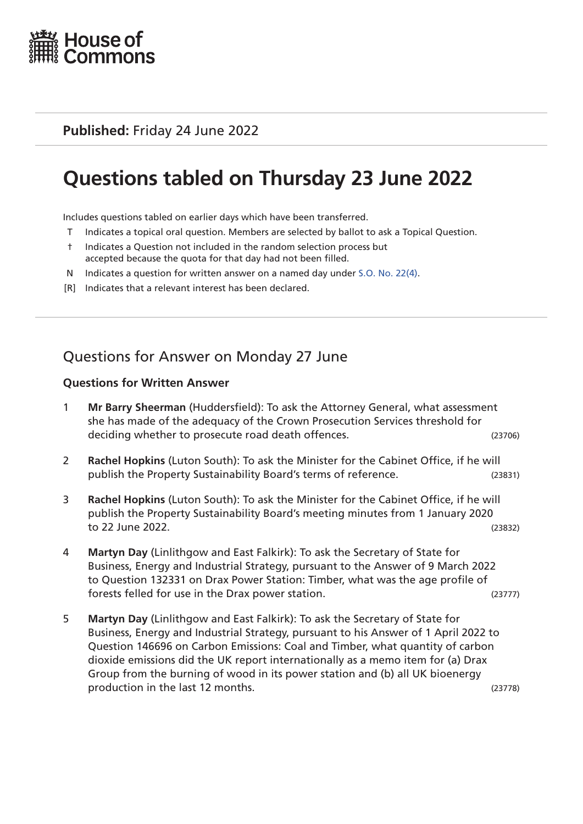

**Published:** Friday 24 June 2022

# **Questions tabled on Thursday 23 June 2022**

Includes questions tabled on earlier days which have been transferred.

- T Indicates a topical oral question. Members are selected by ballot to ask a Topical Question.
- † Indicates a Question not included in the random selection process but accepted because the quota for that day had not been filled.
- N Indicates a question for written answer on a named day under [S.O. No. 22\(4\)](http://publications.parliament.uk/pa/cm201719/cmstords/0004/body.html#22(4)).
- [R] Indicates that a relevant interest has been declared.

# Questions for Answer on Monday 27 June

#### **Questions for Written Answer**

- 1 **Mr Barry Sheerman** (Huddersfield): To ask the Attorney General, what assessment she has made of the adequacy of the Crown Prosecution Services threshold for deciding whether to prosecute road death offences. (23706)
- 2 **Rachel Hopkins** (Luton South): To ask the Minister for the Cabinet Office, if he will publish the Property Sustainability Board's terms of reference. (23831)
- 3 **Rachel Hopkins** (Luton South): To ask the Minister for the Cabinet Office, if he will publish the Property Sustainability Board's meeting minutes from 1 January 2020 to 22 June 2022. (23832)
- 4 **Martyn Day** (Linlithgow and East Falkirk): To ask the Secretary of State for Business, Energy and Industrial Strategy, pursuant to the Answer of 9 March 2022 to Question 132331 on Drax Power Station: Timber, what was the age profile of forests felled for use in the Drax power station. (23777)
- 5 **Martyn Day** (Linlithgow and East Falkirk): To ask the Secretary of State for Business, Energy and Industrial Strategy, pursuant to his Answer of 1 April 2022 to Question 146696 on Carbon Emissions: Coal and Timber, what quantity of carbon dioxide emissions did the UK report internationally as a memo item for (a) Drax Group from the burning of wood in its power station and (b) all UK bioenergy production in the last 12 months. (23778)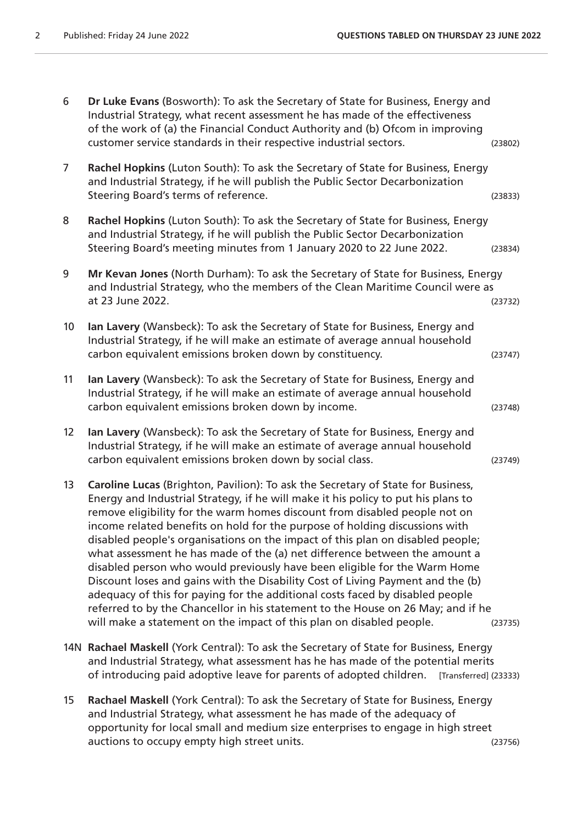| 6               | Dr Luke Evans (Bosworth): To ask the Secretary of State for Business, Energy and<br>Industrial Strategy, what recent assessment he has made of the effectiveness<br>of the work of (a) the Financial Conduct Authority and (b) Ofcom in improving<br>customer service standards in their respective industrial sectors.                                                                                                                                                                                                                                                                                                                                                                                                                                                                                                                                                                                         | (23802) |
|-----------------|-----------------------------------------------------------------------------------------------------------------------------------------------------------------------------------------------------------------------------------------------------------------------------------------------------------------------------------------------------------------------------------------------------------------------------------------------------------------------------------------------------------------------------------------------------------------------------------------------------------------------------------------------------------------------------------------------------------------------------------------------------------------------------------------------------------------------------------------------------------------------------------------------------------------|---------|
| $\overline{7}$  | Rachel Hopkins (Luton South): To ask the Secretary of State for Business, Energy<br>and Industrial Strategy, if he will publish the Public Sector Decarbonization<br>Steering Board's terms of reference.                                                                                                                                                                                                                                                                                                                                                                                                                                                                                                                                                                                                                                                                                                       | (23833) |
| 8               | Rachel Hopkins (Luton South): To ask the Secretary of State for Business, Energy<br>and Industrial Strategy, if he will publish the Public Sector Decarbonization<br>Steering Board's meeting minutes from 1 January 2020 to 22 June 2022.                                                                                                                                                                                                                                                                                                                                                                                                                                                                                                                                                                                                                                                                      | (23834) |
| 9               | Mr Kevan Jones (North Durham): To ask the Secretary of State for Business, Energy<br>and Industrial Strategy, who the members of the Clean Maritime Council were as<br>at 23 June 2022.                                                                                                                                                                                                                                                                                                                                                                                                                                                                                                                                                                                                                                                                                                                         | (23732) |
| 10 <sup>°</sup> | Ian Lavery (Wansbeck): To ask the Secretary of State for Business, Energy and<br>Industrial Strategy, if he will make an estimate of average annual household<br>carbon equivalent emissions broken down by constituency.                                                                                                                                                                                                                                                                                                                                                                                                                                                                                                                                                                                                                                                                                       | (23747) |
| 11              | Ian Lavery (Wansbeck): To ask the Secretary of State for Business, Energy and<br>Industrial Strategy, if he will make an estimate of average annual household<br>carbon equivalent emissions broken down by income.                                                                                                                                                                                                                                                                                                                                                                                                                                                                                                                                                                                                                                                                                             | (23748) |
| 12              | Ian Lavery (Wansbeck): To ask the Secretary of State for Business, Energy and<br>Industrial Strategy, if he will make an estimate of average annual household<br>carbon equivalent emissions broken down by social class.                                                                                                                                                                                                                                                                                                                                                                                                                                                                                                                                                                                                                                                                                       | (23749) |
| 13              | Caroline Lucas (Brighton, Pavilion): To ask the Secretary of State for Business,<br>Energy and Industrial Strategy, if he will make it his policy to put his plans to<br>remove eligibility for the warm homes discount from disabled people not on<br>income related benefits on hold for the purpose of holding discussions with<br>disabled people's organisations on the impact of this plan on disabled people;<br>what assessment he has made of the (a) net difference between the amount a<br>disabled person who would previously have been eligible for the Warm Home<br>Discount loses and gains with the Disability Cost of Living Payment and the (b)<br>adequacy of this for paying for the additional costs faced by disabled people<br>referred to by the Chancellor in his statement to the House on 26 May; and if he<br>will make a statement on the impact of this plan on disabled people. | (23735) |
|                 | 14N Rachael Maskell (York Central): To ask the Secretary of State for Business, Energy                                                                                                                                                                                                                                                                                                                                                                                                                                                                                                                                                                                                                                                                                                                                                                                                                          |         |

- and Industrial Strategy, what assessment has he has made of the potential merits of introducing paid adoptive leave for parents of adopted children. [Transferred] (23333)
- 15 **Rachael Maskell** (York Central): To ask the Secretary of State for Business, Energy and Industrial Strategy, what assessment he has made of the adequacy of opportunity for local small and medium size enterprises to engage in high street auctions to occupy empty high street units. The street of the case of the case of the case of the case of the c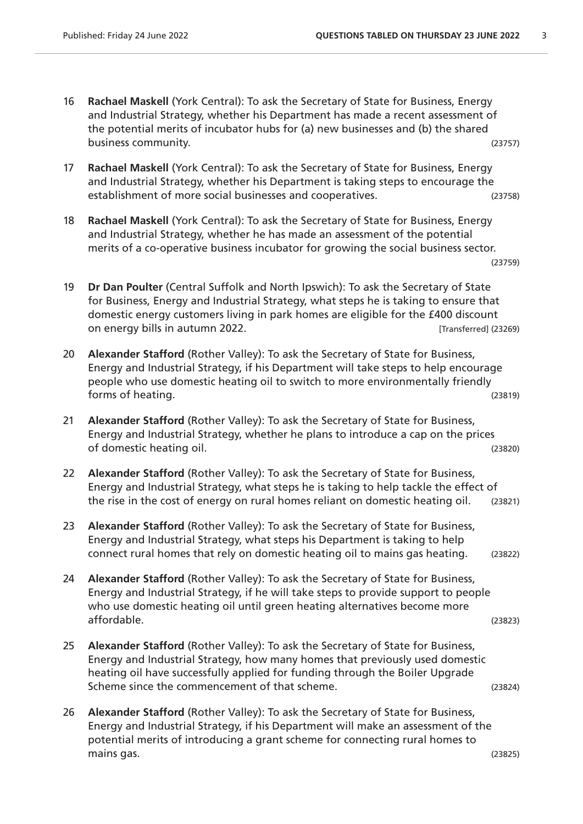- 16 **Rachael Maskell** (York Central): To ask the Secretary of State for Business, Energy and Industrial Strategy, whether his Department has made a recent assessment of the potential merits of incubator hubs for (a) new businesses and (b) the shared business community. (23757)
- 17 **Rachael Maskell** (York Central): To ask the Secretary of State for Business, Energy and Industrial Strategy, whether his Department is taking steps to encourage the establishment of more social businesses and cooperatives. (23758)
- 18 **Rachael Maskell** (York Central): To ask the Secretary of State for Business, Energy and Industrial Strategy, whether he has made an assessment of the potential merits of a co-operative business incubator for growing the social business sector.

```
(23759)
```
- 19 **Dr Dan Poulter** (Central Suffolk and North Ipswich): To ask the Secretary of State for Business, Energy and Industrial Strategy, what steps he is taking to ensure that domestic energy customers living in park homes are eligible for the £400 discount on energy bills in autumn 2022. [Transferred] (23269)
- 20 **Alexander Stafford** (Rother Valley): To ask the Secretary of State for Business, Energy and Industrial Strategy, if his Department will take steps to help encourage people who use domestic heating oil to switch to more environmentally friendly forms of heating. (23819)
- 21 **Alexander Stafford** (Rother Valley): To ask the Secretary of State for Business, Energy and Industrial Strategy, whether he plans to introduce a cap on the prices of domestic heating oil. (23820)
- 22 **Alexander Stafford** (Rother Valley): To ask the Secretary of State for Business, Energy and Industrial Strategy, what steps he is taking to help tackle the effect of the rise in the cost of energy on rural homes reliant on domestic heating oil. (23821)
- 23 **Alexander Stafford** (Rother Valley): To ask the Secretary of State for Business, Energy and Industrial Strategy, what steps his Department is taking to help connect rural homes that rely on domestic heating oil to mains gas heating. (23822)
- 24 **Alexander Stafford** (Rother Valley): To ask the Secretary of State for Business, Energy and Industrial Strategy, if he will take steps to provide support to people who use domestic heating oil until green heating alternatives become more affordable. (23823)
- 25 **Alexander Stafford** (Rother Valley): To ask the Secretary of State for Business, Energy and Industrial Strategy, how many homes that previously used domestic heating oil have successfully applied for funding through the Boiler Upgrade Scheme since the commencement of that scheme. (23824)
- 26 **Alexander Stafford** (Rother Valley): To ask the Secretary of State for Business, Energy and Industrial Strategy, if his Department will make an assessment of the potential merits of introducing a grant scheme for connecting rural homes to mains gas. (23825)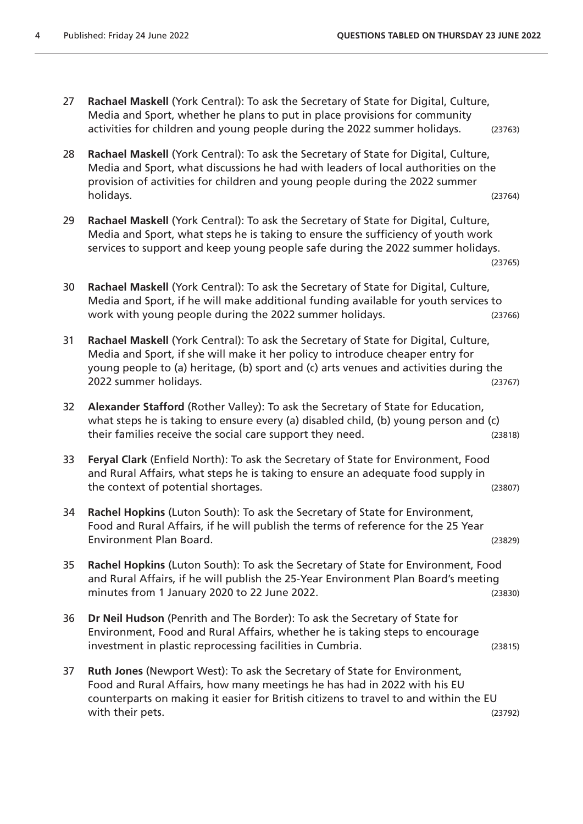- 27 **Rachael Maskell** (York Central): To ask the Secretary of State for Digital, Culture, Media and Sport, whether he plans to put in place provisions for community activities for children and young people during the 2022 summer holidays. (23763)
- 28 **Rachael Maskell** (York Central): To ask the Secretary of State for Digital, Culture, Media and Sport, what discussions he had with leaders of local authorities on the provision of activities for children and young people during the 2022 summer holidays. (23764)
- 29 **Rachael Maskell** (York Central): To ask the Secretary of State for Digital, Culture, Media and Sport, what steps he is taking to ensure the sufficiency of youth work services to support and keep young people safe during the 2022 summer holidays. (23765)
- 30 **Rachael Maskell** (York Central): To ask the Secretary of State for Digital, Culture, Media and Sport, if he will make additional funding available for youth services to work with young people during the 2022 summer holidays. (23766)
- 31 **Rachael Maskell** (York Central): To ask the Secretary of State for Digital, Culture, Media and Sport, if she will make it her policy to introduce cheaper entry for young people to (a) heritage, (b) sport and (c) arts venues and activities during the 2022 summer holidays. (23767)
- 32 **Alexander Stafford** (Rother Valley): To ask the Secretary of State for Education, what steps he is taking to ensure every (a) disabled child, (b) young person and (c) their families receive the social care support they need. (23818)
- 33 **Feryal Clark** (Enfield North): To ask the Secretary of State for Environment, Food and Rural Affairs, what steps he is taking to ensure an adequate food supply in the context of potential shortages. (23807)
- 34 **Rachel Hopkins** (Luton South): To ask the Secretary of State for Environment, Food and Rural Affairs, if he will publish the terms of reference for the 25 Year Environment Plan Board. (23829)
- 35 **Rachel Hopkins** (Luton South): To ask the Secretary of State for Environment, Food and Rural Affairs, if he will publish the 25-Year Environment Plan Board's meeting minutes from 1 January 2020 to 22 June 2022.
- 36 **Dr Neil Hudson** (Penrith and The Border): To ask the Secretary of State for Environment, Food and Rural Affairs, whether he is taking steps to encourage investment in plastic reprocessing facilities in Cumbria. (23815)
- 37 **Ruth Jones** (Newport West): To ask the Secretary of State for Environment, Food and Rural Affairs, how many meetings he has had in 2022 with his EU counterparts on making it easier for British citizens to travel to and within the EU with their pets. (23792)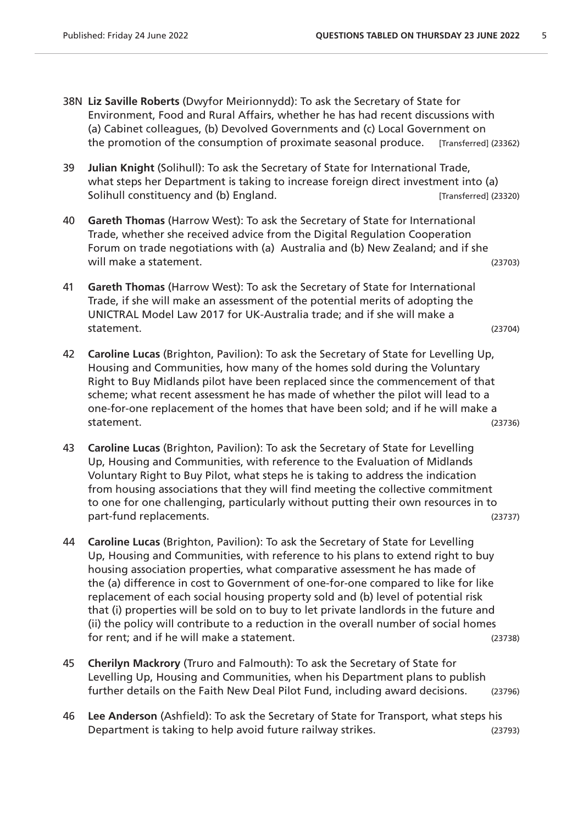- 38N **Liz Saville Roberts** (Dwyfor Meirionnydd): To ask the Secretary of State for Environment, Food and Rural Affairs, whether he has had recent discussions with (a) Cabinet colleagues, (b) Devolved Governments and (c) Local Government on the promotion of the consumption of proximate seasonal produce. [Transferred] (23362)
- 39 **Julian Knight** (Solihull): To ask the Secretary of State for International Trade, what steps her Department is taking to increase foreign direct investment into (a) Solihull constituency and (b) England. The same state of the set of the state of the state of the state of the state of the state of the state of the state of the state of the state of the state of the state of the state o
- 40 **Gareth Thomas** (Harrow West): To ask the Secretary of State for International Trade, whether she received advice from the Digital Regulation Cooperation Forum on trade negotiations with (a) Australia and (b) New Zealand; and if she will make a statement. (23703)
- 41 **Gareth Thomas** (Harrow West): To ask the Secretary of State for International Trade, if she will make an assessment of the potential merits of adopting the UNICTRAL Model Law 2017 for UK-Australia trade; and if she will make a statement. (23704)
- 42 **Caroline Lucas** (Brighton, Pavilion): To ask the Secretary of State for Levelling Up, Housing and Communities, how many of the homes sold during the Voluntary Right to Buy Midlands pilot have been replaced since the commencement of that scheme; what recent assessment he has made of whether the pilot will lead to a one-for-one replacement of the homes that have been sold; and if he will make a statement. (23736)
- 43 **Caroline Lucas** (Brighton, Pavilion): To ask the Secretary of State for Levelling Up, Housing and Communities, with reference to the Evaluation of Midlands Voluntary Right to Buy Pilot, what steps he is taking to address the indication from housing associations that they will find meeting the collective commitment to one for one challenging, particularly without putting their own resources in to part-fund replacements. (23737)
- 44 **Caroline Lucas** (Brighton, Pavilion): To ask the Secretary of State for Levelling Up, Housing and Communities, with reference to his plans to extend right to buy housing association properties, what comparative assessment he has made of the (a) difference in cost to Government of one-for-one compared to like for like replacement of each social housing property sold and (b) level of potential risk that (i) properties will be sold on to buy to let private landlords in the future and (ii) the policy will contribute to a reduction in the overall number of social homes for rent; and if he will make a statement. (23738)
- 45 **Cherilyn Mackrory** (Truro and Falmouth): To ask the Secretary of State for Levelling Up, Housing and Communities, when his Department plans to publish further details on the Faith New Deal Pilot Fund, including award decisions. (23796)
- 46 **Lee Anderson** (Ashfield): To ask the Secretary of State for Transport, what steps his Department is taking to help avoid future railway strikes. (23793)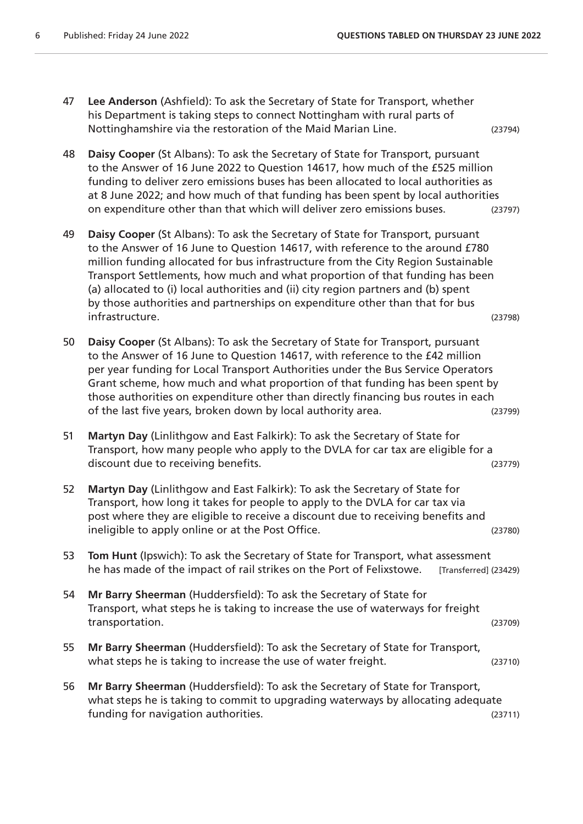47 **Lee Anderson** (Ashfield): To ask the Secretary of State for Transport, whether his Department is taking steps to connect Nottingham with rural parts of Nottinghamshire via the restoration of the Maid Marian Line. (23794)

- 48 **Daisy Cooper** (St Albans): To ask the Secretary of State for Transport, pursuant to the Answer of 16 June 2022 to Question 14617, how much of the £525 million funding to deliver zero emissions buses has been allocated to local authorities as at 8 June 2022; and how much of that funding has been spent by local authorities on expenditure other than that which will deliver zero emissions buses. (23797)
- 49 **Daisy Cooper** (St Albans): To ask the Secretary of State for Transport, pursuant to the Answer of 16 June to Question 14617, with reference to the around £780 million funding allocated for bus infrastructure from the City Region Sustainable Transport Settlements, how much and what proportion of that funding has been (a) allocated to (i) local authorities and (ii) city region partners and (b) spent by those authorities and partnerships on expenditure other than that for bus infrastructure. (23798)
- 50 **Daisy Cooper** (St Albans): To ask the Secretary of State for Transport, pursuant to the Answer of 16 June to Question 14617, with reference to the £42 million per year funding for Local Transport Authorities under the Bus Service Operators Grant scheme, how much and what proportion of that funding has been spent by those authorities on expenditure other than directly financing bus routes in each of the last five years, broken down by local authority area. (23799)
- 51 **Martyn Day** (Linlithgow and East Falkirk): To ask the Secretary of State for Transport, how many people who apply to the DVLA for car tax are eligible for a discount due to receiving benefits. (23779)
- 52 **Martyn Day** (Linlithgow and East Falkirk): To ask the Secretary of State for Transport, how long it takes for people to apply to the DVLA for car tax via post where they are eligible to receive a discount due to receiving benefits and ineligible to apply online or at the Post Office. (23780)
- 53 **Tom Hunt** (Ipswich): To ask the Secretary of State for Transport, what assessment he has made of the impact of rail strikes on the Port of Felixstowe. [Transferred] (23429)
- 54 **Mr Barry Sheerman** (Huddersfield): To ask the Secretary of State for Transport, what steps he is taking to increase the use of waterways for freight transportation. (23709)
- 55 **Mr Barry Sheerman** (Huddersfield): To ask the Secretary of State for Transport, what steps he is taking to increase the use of water freight. (23710)
- 56 **Mr Barry Sheerman** (Huddersfield): To ask the Secretary of State for Transport, what steps he is taking to commit to upgrading waterways by allocating adequate funding for navigation authorities. (23711)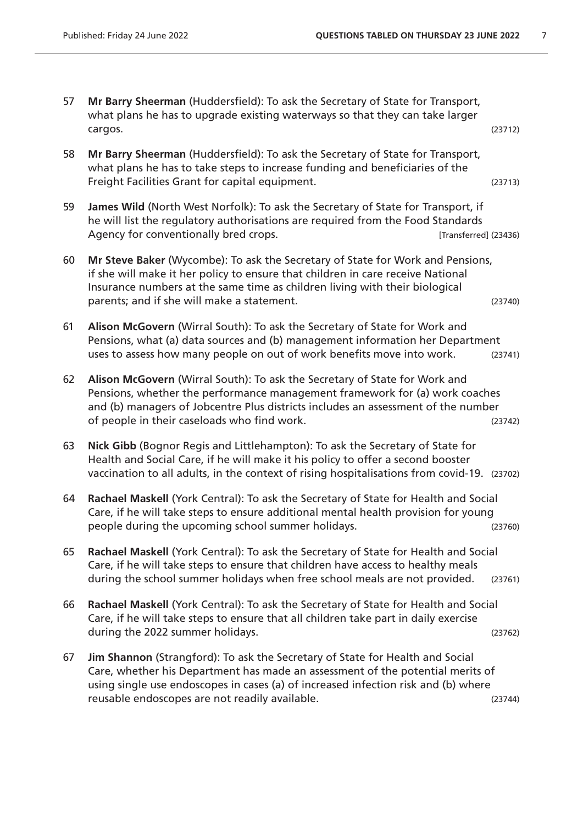- 57 **Mr Barry Sheerman** (Huddersfield): To ask the Secretary of State for Transport, what plans he has to upgrade existing waterways so that they can take larger cargos. (23712)
- 58 **Mr Barry Sheerman** (Huddersfield): To ask the Secretary of State for Transport, what plans he has to take steps to increase funding and beneficiaries of the Freight Facilities Grant for capital equipment. (23713)
- 59 **James Wild** (North West Norfolk): To ask the Secretary of State for Transport, if he will list the regulatory authorisations are required from the Food Standards Agency for conventionally bred crops. The same conventional (23436) and  $[Transformed]$  (23436)
- 60 **Mr Steve Baker** (Wycombe): To ask the Secretary of State for Work and Pensions, if she will make it her policy to ensure that children in care receive National Insurance numbers at the same time as children living with their biological parents; and if she will make a statement. (23740)
- 61 **Alison McGovern** (Wirral South): To ask the Secretary of State for Work and Pensions, what (a) data sources and (b) management information her Department uses to assess how many people on out of work benefits move into work. (23741)
- 62 **Alison McGovern** (Wirral South): To ask the Secretary of State for Work and Pensions, whether the performance management framework for (a) work coaches and (b) managers of Jobcentre Plus districts includes an assessment of the number of people in their caseloads who find work. (23742)
- 63 **Nick Gibb** (Bognor Regis and Littlehampton): To ask the Secretary of State for Health and Social Care, if he will make it his policy to offer a second booster vaccination to all adults, in the context of rising hospitalisations from covid-19. (23702)
- 64 **Rachael Maskell** (York Central): To ask the Secretary of State for Health and Social Care, if he will take steps to ensure additional mental health provision for young people during the upcoming school summer holidays. (23760)
- 65 **Rachael Maskell** (York Central): To ask the Secretary of State for Health and Social Care, if he will take steps to ensure that children have access to healthy meals during the school summer holidays when free school meals are not provided. (23761)
- 66 **Rachael Maskell** (York Central): To ask the Secretary of State for Health and Social Care, if he will take steps to ensure that all children take part in daily exercise during the 2022 summer holidays. (23762) and the control of the control of the control of the control of the control of the control of the control of the control of the control of the control of the control of the control
- 67 **Jim Shannon** (Strangford): To ask the Secretary of State for Health and Social Care, whether his Department has made an assessment of the potential merits of using single use endoscopes in cases (a) of increased infection risk and (b) where reusable endoscopes are not readily available. (23744)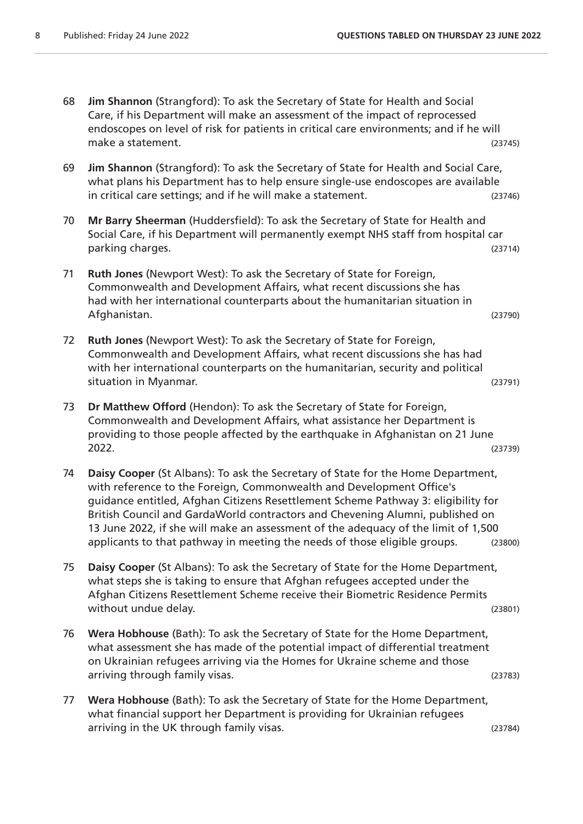- 68 **Jim Shannon** (Strangford): To ask the Secretary of State for Health and Social Care, if his Department will make an assessment of the impact of reprocessed endoscopes on level of risk for patients in critical care environments; and if he will make a statement. (23745)
- 69 **Jim Shannon** (Strangford): To ask the Secretary of State for Health and Social Care, what plans his Department has to help ensure single-use endoscopes are available in critical care settings; and if he will make a statement. (23746)
- 70 **Mr Barry Sheerman** (Huddersfield): To ask the Secretary of State for Health and Social Care, if his Department will permanently exempt NHS staff from hospital car parking charges. (23714)
- 71 **Ruth Jones** (Newport West): To ask the Secretary of State for Foreign, Commonwealth and Development Affairs, what recent discussions she has had with her international counterparts about the humanitarian situation in Afghanistan. (23790)
- 72 **Ruth Jones** (Newport West): To ask the Secretary of State for Foreign, Commonwealth and Development Affairs, what recent discussions she has had with her international counterparts on the humanitarian, security and political situation in Myanmar. (23791)
- 73 **Dr Matthew Offord** (Hendon): To ask the Secretary of State for Foreign, Commonwealth and Development Affairs, what assistance her Department is providing to those people affected by the earthquake in Afghanistan on 21 June 2022. (23739)
- 74 **Daisy Cooper** (St Albans): To ask the Secretary of State for the Home Department, with reference to the Foreign, Commonwealth and Development Office's guidance entitled, Afghan Citizens Resettlement Scheme Pathway 3: eligibility for British Council and GardaWorld contractors and Chevening Alumni, published on 13 June 2022, if she will make an assessment of the adequacy of the limit of 1,500 applicants to that pathway in meeting the needs of those eligible groups. (23800)
- 75 **Daisy Cooper** (St Albans): To ask the Secretary of State for the Home Department, what steps she is taking to ensure that Afghan refugees accepted under the Afghan Citizens Resettlement Scheme receive their Biometric Residence Permits without undue delay. The same state of the set of the set of the set of the set of the set of the set of the set of the set of the set of the set of the set of the set of the set of the set of the set of the set of the set
- 76 **Wera Hobhouse** (Bath): To ask the Secretary of State for the Home Department, what assessment she has made of the potential impact of differential treatment on Ukrainian refugees arriving via the Homes for Ukraine scheme and those arriving through family visas. (23783)
- 77 **Wera Hobhouse** (Bath): To ask the Secretary of State for the Home Department, what financial support her Department is providing for Ukrainian refugees arriving in the UK through family visas. (23784)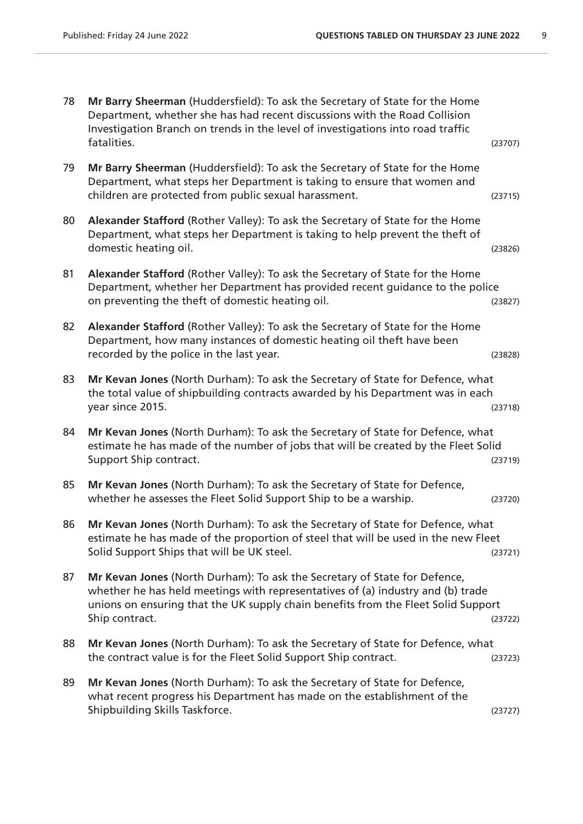| 78 | Mr Barry Sheerman (Huddersfield): To ask the Secretary of State for the Home<br>Department, whether she has had recent discussions with the Road Collision<br>Investigation Branch on trends in the level of investigations into road traffic                       |         |
|----|---------------------------------------------------------------------------------------------------------------------------------------------------------------------------------------------------------------------------------------------------------------------|---------|
|    | fatalities.                                                                                                                                                                                                                                                         | (23707) |
| 79 | Mr Barry Sheerman (Huddersfield): To ask the Secretary of State for the Home<br>Department, what steps her Department is taking to ensure that women and<br>children are protected from public sexual harassment.                                                   | (23715) |
| 80 | Alexander Stafford (Rother Valley): To ask the Secretary of State for the Home<br>Department, what steps her Department is taking to help prevent the theft of<br>domestic heating oil.                                                                             | (23826) |
| 81 | Alexander Stafford (Rother Valley): To ask the Secretary of State for the Home<br>Department, whether her Department has provided recent guidance to the police<br>on preventing the theft of domestic heating oil.                                                 | (23827) |
| 82 | Alexander Stafford (Rother Valley): To ask the Secretary of State for the Home<br>Department, how many instances of domestic heating oil theft have been<br>recorded by the police in the last year.                                                                | (23828) |
| 83 | Mr Kevan Jones (North Durham): To ask the Secretary of State for Defence, what<br>the total value of shipbuilding contracts awarded by his Department was in each<br>year since 2015.                                                                               | (23718) |
| 84 | Mr Kevan Jones (North Durham): To ask the Secretary of State for Defence, what<br>estimate he has made of the number of jobs that will be created by the Fleet Solid<br>Support Ship contract.                                                                      | (23719) |
| 85 | Mr Kevan Jones (North Durham): To ask the Secretary of State for Defence,<br>whether he assesses the Fleet Solid Support Ship to be a warship.                                                                                                                      | (23720) |
| 86 | Mr Kevan Jones (North Durham): To ask the Secretary of State for Defence, what<br>estimate he has made of the proportion of steel that will be used in the new Fleet<br>Solid Support Ships that will be UK steel.                                                  | (23721) |
| 87 | Mr Kevan Jones (North Durham): To ask the Secretary of State for Defence,<br>whether he has held meetings with representatives of (a) industry and (b) trade<br>unions on ensuring that the UK supply chain benefits from the Fleet Solid Support<br>Ship contract. | (23722) |
| 88 | Mr Kevan Jones (North Durham): To ask the Secretary of State for Defence, what<br>the contract value is for the Fleet Solid Support Ship contract.                                                                                                                  | (23723) |
| 89 | Mr Kevan Jones (North Durham): To ask the Secretary of State for Defence,<br>what recent progress his Department has made on the establishment of the<br>Shipbuilding Skills Taskforce.                                                                             | (23727) |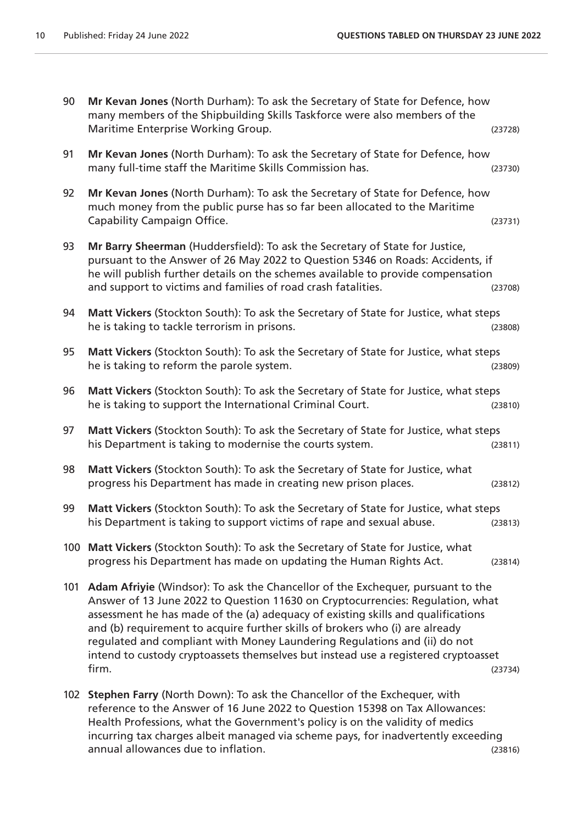| 90  | Mr Kevan Jones (North Durham): To ask the Secretary of State for Defence, how<br>many members of the Shipbuilding Skills Taskforce were also members of the<br>Maritime Enterprise Working Group.                                                                                                                                                                                                                                                                                                                 | (23728) |
|-----|-------------------------------------------------------------------------------------------------------------------------------------------------------------------------------------------------------------------------------------------------------------------------------------------------------------------------------------------------------------------------------------------------------------------------------------------------------------------------------------------------------------------|---------|
| 91  | Mr Kevan Jones (North Durham): To ask the Secretary of State for Defence, how<br>many full-time staff the Maritime Skills Commission has.                                                                                                                                                                                                                                                                                                                                                                         | (23730) |
| 92  | Mr Kevan Jones (North Durham): To ask the Secretary of State for Defence, how<br>much money from the public purse has so far been allocated to the Maritime<br>Capability Campaign Office.                                                                                                                                                                                                                                                                                                                        | (23731) |
| 93  | Mr Barry Sheerman (Huddersfield): To ask the Secretary of State for Justice,<br>pursuant to the Answer of 26 May 2022 to Question 5346 on Roads: Accidents, if<br>he will publish further details on the schemes available to provide compensation<br>and support to victims and families of road crash fatalities.                                                                                                                                                                                               | (23708) |
| 94  | Matt Vickers (Stockton South): To ask the Secretary of State for Justice, what steps<br>he is taking to tackle terrorism in prisons.                                                                                                                                                                                                                                                                                                                                                                              | (23808) |
| 95  | Matt Vickers (Stockton South): To ask the Secretary of State for Justice, what steps<br>he is taking to reform the parole system.                                                                                                                                                                                                                                                                                                                                                                                 | (23809) |
| 96  | Matt Vickers (Stockton South): To ask the Secretary of State for Justice, what steps<br>he is taking to support the International Criminal Court.                                                                                                                                                                                                                                                                                                                                                                 | (23810) |
| 97  | Matt Vickers (Stockton South): To ask the Secretary of State for Justice, what steps<br>his Department is taking to modernise the courts system.                                                                                                                                                                                                                                                                                                                                                                  | (23811) |
| 98  | Matt Vickers (Stockton South): To ask the Secretary of State for Justice, what<br>progress his Department has made in creating new prison places.                                                                                                                                                                                                                                                                                                                                                                 | (23812) |
| 99  | Matt Vickers (Stockton South): To ask the Secretary of State for Justice, what steps<br>his Department is taking to support victims of rape and sexual abuse.                                                                                                                                                                                                                                                                                                                                                     | (23813) |
|     | 100 Matt Vickers (Stockton South): To ask the Secretary of State for Justice, what<br>progress his Department has made on updating the Human Rights Act.                                                                                                                                                                                                                                                                                                                                                          | (23814) |
| 101 | Adam Afriyie (Windsor): To ask the Chancellor of the Exchequer, pursuant to the<br>Answer of 13 June 2022 to Question 11630 on Cryptocurrencies: Regulation, what<br>assessment he has made of the (a) adequacy of existing skills and qualifications<br>and (b) requirement to acquire further skills of brokers who (i) are already<br>regulated and compliant with Money Laundering Regulations and (ii) do not<br>intend to custody cryptoassets themselves but instead use a registered cryptoasset<br>firm. | (23734) |
|     | 102 Stephen Farry (North Down): To ask the Chancellor of the Exchequer, with<br>reference to the Answer of 16 June 2022 to Question 15398 on Tax Allowances:                                                                                                                                                                                                                                                                                                                                                      |         |

Health Professions, what the Government's policy is on the validity of medics incurring tax charges albeit managed via scheme pays, for inadvertently exceeding annual allowances due to inflation. (23816)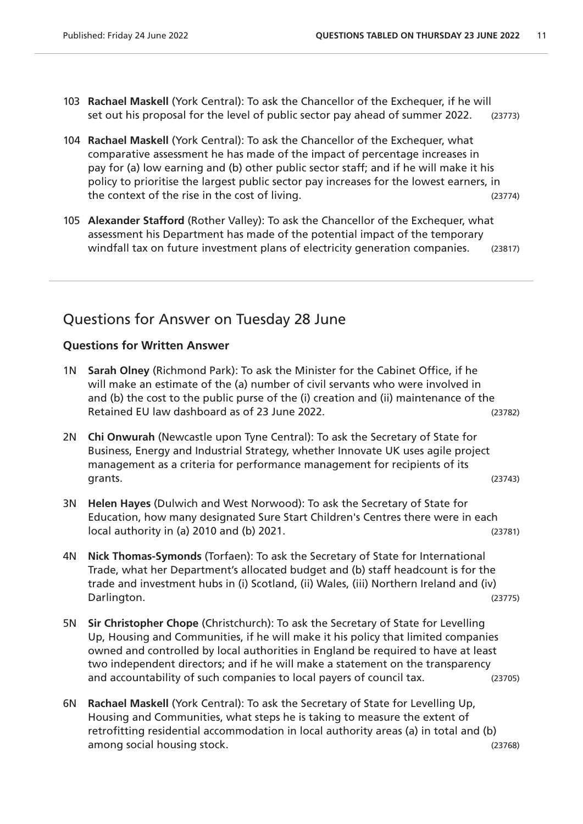- 103 **Rachael Maskell** (York Central): To ask the Chancellor of the Exchequer, if he will set out his proposal for the level of public sector pay ahead of summer 2022. (23773)
- 104 **Rachael Maskell** (York Central): To ask the Chancellor of the Exchequer, what comparative assessment he has made of the impact of percentage increases in pay for (a) low earning and (b) other public sector staff; and if he will make it his policy to prioritise the largest public sector pay increases for the lowest earners, in the context of the rise in the cost of living. (23774)
- 105 **Alexander Stafford** (Rother Valley): To ask the Chancellor of the Exchequer, what assessment his Department has made of the potential impact of the temporary windfall tax on future investment plans of electricity generation companies. (23817)

# Questions for Answer on Tuesday 28 June

#### **Questions for Written Answer**

- 1N **Sarah Olney** (Richmond Park): To ask the Minister for the Cabinet Office, if he will make an estimate of the (a) number of civil servants who were involved in and (b) the cost to the public purse of the (i) creation and (ii) maintenance of the Retained EU law dashboard as of 23 June 2022. (23782)
- 2N **Chi Onwurah** (Newcastle upon Tyne Central): To ask the Secretary of State for Business, Energy and Industrial Strategy, whether Innovate UK uses agile project management as a criteria for performance management for recipients of its grants. (23743)
- 3N **Helen Hayes** (Dulwich and West Norwood): To ask the Secretary of State for Education, how many designated Sure Start Children's Centres there were in each local authority in (a) 2010 and (b) 2021. (23781)
- 4N **Nick Thomas-Symonds** (Torfaen): To ask the Secretary of State for International Trade, what her Department's allocated budget and (b) staff headcount is for the trade and investment hubs in (i) Scotland, (ii) Wales, (iii) Northern Ireland and (iv) Darlington. (23775)
- 5N **Sir Christopher Chope** (Christchurch): To ask the Secretary of State for Levelling Up, Housing and Communities, if he will make it his policy that limited companies owned and controlled by local authorities in England be required to have at least two independent directors; and if he will make a statement on the transparency and accountability of such companies to local payers of council tax. (23705)
- 6N **Rachael Maskell** (York Central): To ask the Secretary of State for Levelling Up, Housing and Communities, what steps he is taking to measure the extent of retrofitting residential accommodation in local authority areas (a) in total and (b) among social housing stock. (23768)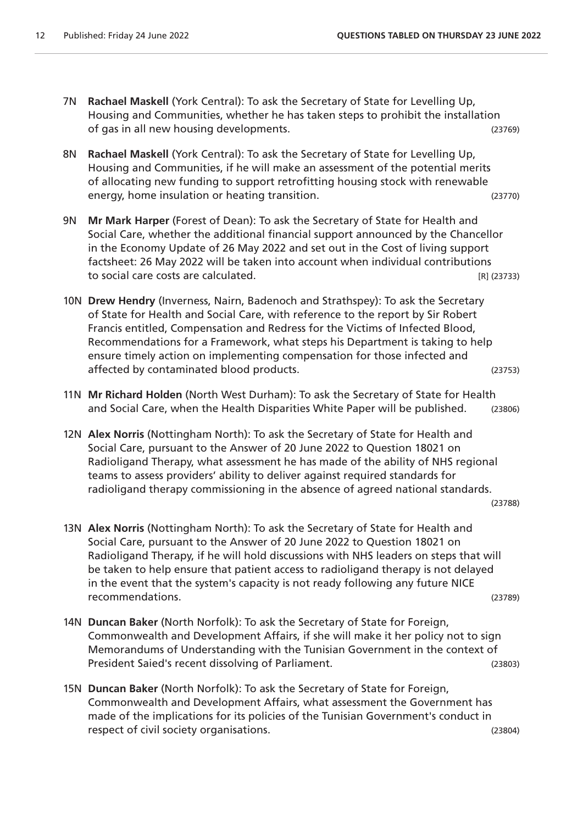- 7N **Rachael Maskell** (York Central): To ask the Secretary of State for Levelling Up, Housing and Communities, whether he has taken steps to prohibit the installation of gas in all new housing developments. (23769)
- 8N **Rachael Maskell** (York Central): To ask the Secretary of State for Levelling Up, Housing and Communities, if he will make an assessment of the potential merits of allocating new funding to support retrofitting housing stock with renewable energy, home insulation or heating transition. (23770)
- 9N **Mr Mark Harper** (Forest of Dean): To ask the Secretary of State for Health and Social Care, whether the additional financial support announced by the Chancellor in the Economy Update of 26 May 2022 and set out in the Cost of living support factsheet: 26 May 2022 will be taken into account when individual contributions to social care costs are calculated. The social care costs are calculated.
- 10N **Drew Hendry** (Inverness, Nairn, Badenoch and Strathspey): To ask the Secretary of State for Health and Social Care, with reference to the report by Sir Robert Francis entitled, Compensation and Redress for the Victims of Infected Blood, Recommendations for a Framework, what steps his Department is taking to help ensure timely action on implementing compensation for those infected and affected by contaminated blood products. (23753)

- 11N **Mr Richard Holden** (North West Durham): To ask the Secretary of State for Health and Social Care, when the Health Disparities White Paper will be published. (23806)
- 12N **Alex Norris** (Nottingham North): To ask the Secretary of State for Health and Social Care, pursuant to the Answer of 20 June 2022 to Question 18021 on Radioligand Therapy, what assessment he has made of the ability of NHS regional teams to assess providers' ability to deliver against required standards for radioligand therapy commissioning in the absence of agreed national standards.

(23788)

- 13N **Alex Norris** (Nottingham North): To ask the Secretary of State for Health and Social Care, pursuant to the Answer of 20 June 2022 to Question 18021 on Radioligand Therapy, if he will hold discussions with NHS leaders on steps that will be taken to help ensure that patient access to radioligand therapy is not delayed in the event that the system's capacity is not ready following any future NICE recommendations. (23789)
- 14N **Duncan Baker** (North Norfolk): To ask the Secretary of State for Foreign, Commonwealth and Development Affairs, if she will make it her policy not to sign Memorandums of Understanding with the Tunisian Government in the context of President Saied's recent dissolving of Parliament. (23803)
- 15N **Duncan Baker** (North Norfolk): To ask the Secretary of State for Foreign, Commonwealth and Development Affairs, what assessment the Government has made of the implications for its policies of the Tunisian Government's conduct in respect of civil society organisations. (23804)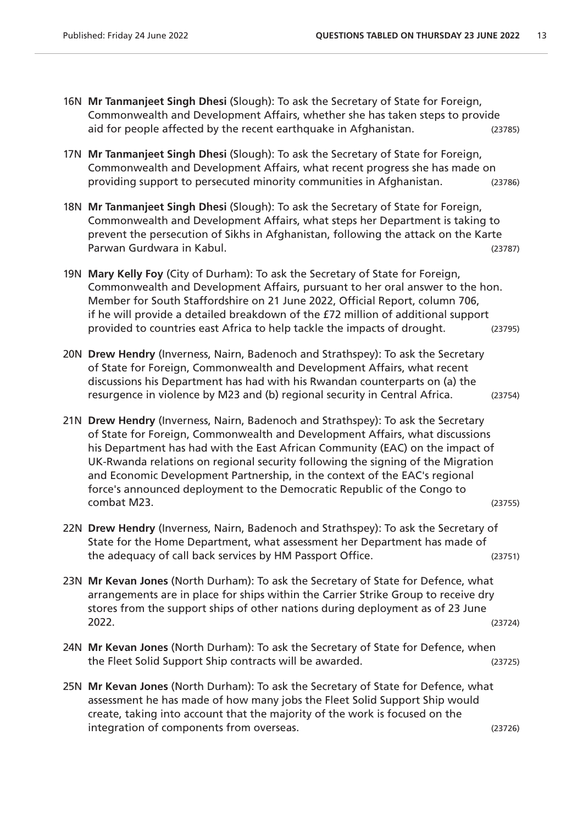- 16N **Mr Tanmanjeet Singh Dhesi** (Slough): To ask the Secretary of State for Foreign, Commonwealth and Development Affairs, whether she has taken steps to provide aid for people affected by the recent earthquake in Afghanistan. (23785)
- 17N **Mr Tanmanjeet Singh Dhesi** (Slough): To ask the Secretary of State for Foreign, Commonwealth and Development Affairs, what recent progress she has made on providing support to persecuted minority communities in Afghanistan. (23786)
- 18N **Mr Tanmanjeet Singh Dhesi** (Slough): To ask the Secretary of State for Foreign, Commonwealth and Development Affairs, what steps her Department is taking to prevent the persecution of Sikhs in Afghanistan, following the attack on the Karte Parwan Gurdwara in Kabul. (23787)
- 19N **Mary Kelly Foy** (City of Durham): To ask the Secretary of State for Foreign, Commonwealth and Development Affairs, pursuant to her oral answer to the hon. Member for South Staffordshire on 21 June 2022, Official Report, column 706, if he will provide a detailed breakdown of the £72 million of additional support provided to countries east Africa to help tackle the impacts of drought. (23795)
- 20N **Drew Hendry** (Inverness, Nairn, Badenoch and Strathspey): To ask the Secretary of State for Foreign, Commonwealth and Development Affairs, what recent discussions his Department has had with his Rwandan counterparts on (a) the resurgence in violence by M23 and (b) regional security in Central Africa. (23754)
- 21N **Drew Hendry** (Inverness, Nairn, Badenoch and Strathspey): To ask the Secretary of State for Foreign, Commonwealth and Development Affairs, what discussions his Department has had with the East African Community (EAC) on the impact of UK-Rwanda relations on regional security following the signing of the Migration and Economic Development Partnership, in the context of the EAC's regional force's announced deployment to the Democratic Republic of the Congo to combat M23. (23755)
- 22N **Drew Hendry** (Inverness, Nairn, Badenoch and Strathspey): To ask the Secretary of State for the Home Department, what assessment her Department has made of the adequacy of call back services by HM Passport Office. (23751)
- 23N **Mr Kevan Jones** (North Durham): To ask the Secretary of State for Defence, what arrangements are in place for ships within the Carrier Strike Group to receive dry stores from the support ships of other nations during deployment as of 23 June 2022. (23724)
- 24N **Mr Kevan Jones** (North Durham): To ask the Secretary of State for Defence, when the Fleet Solid Support Ship contracts will be awarded. (23725)
- 25N **Mr Kevan Jones** (North Durham): To ask the Secretary of State for Defence, what assessment he has made of how many jobs the Fleet Solid Support Ship would create, taking into account that the majority of the work is focused on the integration of components from overseas. (23726)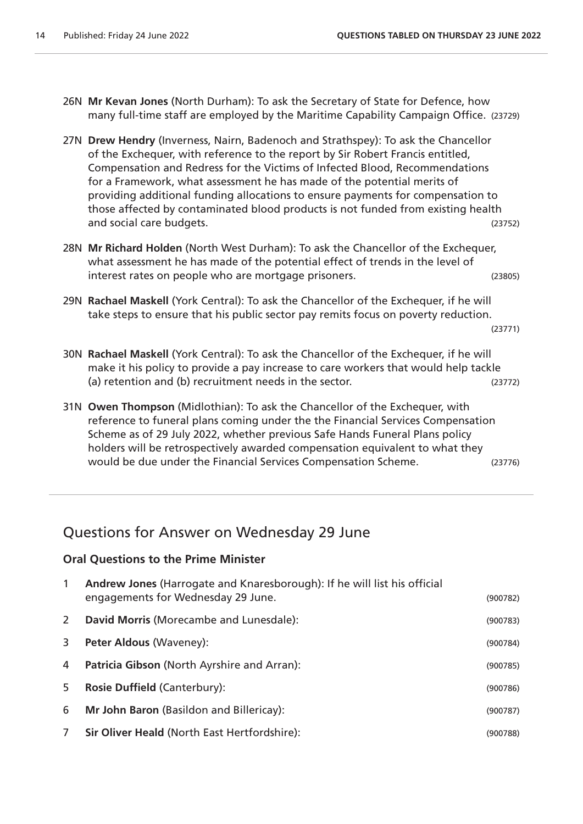- 26N **Mr Kevan Jones** (North Durham): To ask the Secretary of State for Defence, how many full-time staff are employed by the Maritime Capability Campaign Office. (23729)
- 27N **Drew Hendry** (Inverness, Nairn, Badenoch and Strathspey): To ask the Chancellor of the Exchequer, with reference to the report by Sir Robert Francis entitled, Compensation and Redress for the Victims of Infected Blood, Recommendations for a Framework, what assessment he has made of the potential merits of providing additional funding allocations to ensure payments for compensation to those affected by contaminated blood products is not funded from existing health and social care budgets. (23752)
- 28N **Mr Richard Holden** (North West Durham): To ask the Chancellor of the Exchequer, what assessment he has made of the potential effect of trends in the level of interest rates on people who are mortgage prisoners. (23805)
- 29N **Rachael Maskell** (York Central): To ask the Chancellor of the Exchequer, if he will take steps to ensure that his public sector pay remits focus on poverty reduction.

(23771)

- 30N **Rachael Maskell** (York Central): To ask the Chancellor of the Exchequer, if he will make it his policy to provide a pay increase to care workers that would help tackle (a) retention and (b) recruitment needs in the sector. (23772)
- 31N **Owen Thompson** (Midlothian): To ask the Chancellor of the Exchequer, with reference to funeral plans coming under the the Financial Services Compensation Scheme as of 29 July 2022, whether previous Safe Hands Funeral Plans policy holders will be retrospectively awarded compensation equivalent to what they would be due under the Financial Services Compensation Scheme. (23776)

## Questions for Answer on Wednesday 29 June

#### **Oral Questions to the Prime Minister**

| $\mathbf{1}$ | Andrew Jones (Harrogate and Knaresborough): If he will list his official<br>engagements for Wednesday 29 June. | (900782) |
|--------------|----------------------------------------------------------------------------------------------------------------|----------|
| 2            | David Morris (Morecambe and Lunesdale):                                                                        | (900783) |
| 3            | <b>Peter Aldous (Waveney):</b>                                                                                 | (900784) |
| 4            | Patricia Gibson (North Ayrshire and Arran):                                                                    | (900785) |
| 5            | <b>Rosie Duffield (Canterbury):</b>                                                                            | (900786) |
| 6            | Mr John Baron (Basildon and Billericay):                                                                       | (900787) |
| 7            | Sir Oliver Heald (North East Hertfordshire):                                                                   | (900788) |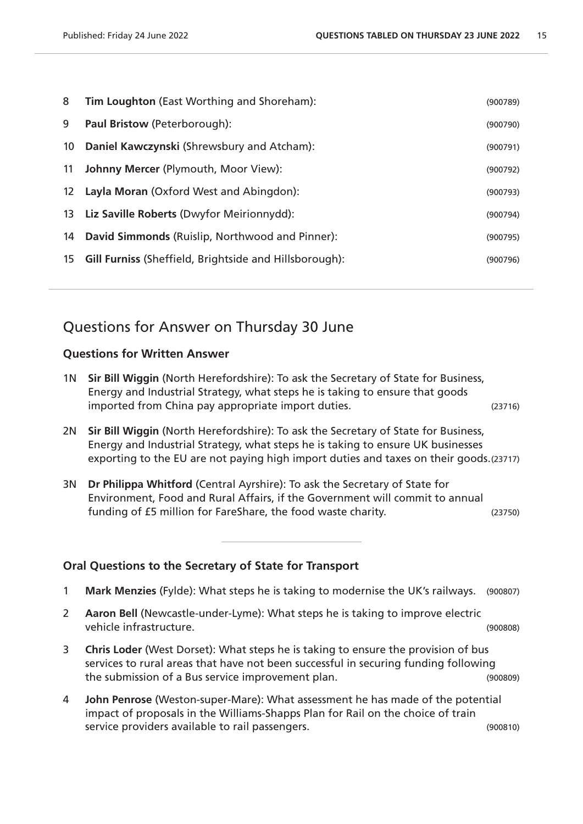| 8  | Tim Loughton (East Worthing and Shoreham):                | (900789) |
|----|-----------------------------------------------------------|----------|
| 9  | <b>Paul Bristow (Peterborough):</b>                       | (900790) |
| 10 | Daniel Kawczynski (Shrewsbury and Atcham):                | (900791) |
| 11 | <b>Johnny Mercer (Plymouth, Moor View):</b>               | (900792) |
|    | 12 Layla Moran (Oxford West and Abingdon):                | (900793) |
|    | 13 Liz Saville Roberts (Dwyfor Meirionnydd):              | (900794) |
| 14 | David Simmonds (Ruislip, Northwood and Pinner):           | (900795) |
|    | 15 Gill Furniss (Sheffield, Brightside and Hillsborough): | (900796) |
|    |                                                           |          |

## Questions for Answer on Thursday 30 June

#### **Questions for Written Answer**

1N **Sir Bill Wiggin** (North Herefordshire): To ask the Secretary of State for Business, Energy and Industrial Strategy, what steps he is taking to ensure that goods imported from China pay appropriate import duties. (23716)

2N **Sir Bill Wiggin** (North Herefordshire): To ask the Secretary of State for Business, Energy and Industrial Strategy, what steps he is taking to ensure UK businesses exporting to the EU are not paying high import duties and taxes on their goods.(23717)

3N **Dr Philippa Whitford** (Central Ayrshire): To ask the Secretary of State for Environment, Food and Rural Affairs, if the Government will commit to annual funding of £5 million for FareShare, the food waste charity. (23750)

#### **Oral Questions to the Secretary of State for Transport**

- 1 **Mark Menzies** (Fylde): What steps he is taking to modernise the UK's railways. (900807)
- 2 **Aaron Bell** (Newcastle-under-Lyme): What steps he is taking to improve electric vehicle infrastructure. (900808)
- 3 **Chris Loder** (West Dorset): What steps he is taking to ensure the provision of bus services to rural areas that have not been successful in securing funding following the submission of a Bus service improvement plan. (900809)
- 4 **John Penrose** (Weston-super-Mare): What assessment he has made of the potential impact of proposals in the Williams-Shapps Plan for Rail on the choice of train service providers available to rail passengers. The same service providers (900810)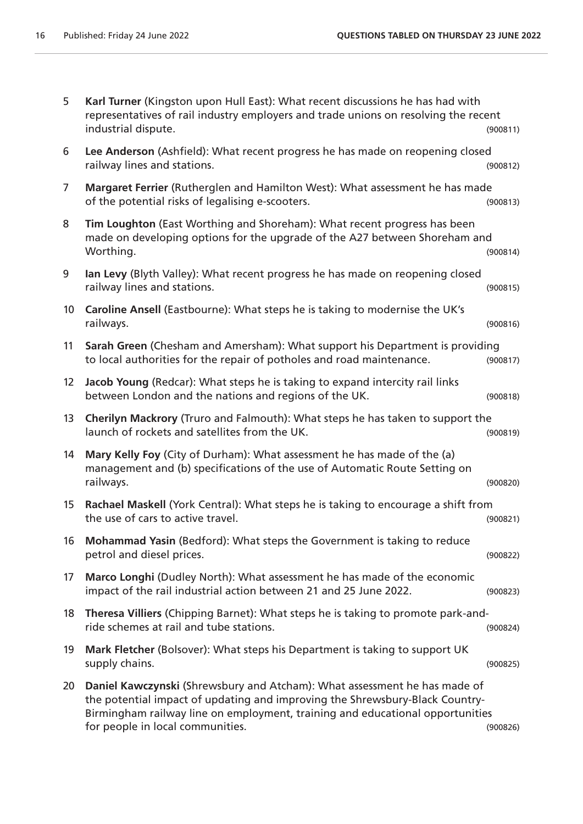| 5                 | Karl Turner (Kingston upon Hull East): What recent discussions he has had with<br>representatives of rail industry employers and trade unions on resolving the recent<br>industrial dispute.                                                                                   | (900811) |
|-------------------|--------------------------------------------------------------------------------------------------------------------------------------------------------------------------------------------------------------------------------------------------------------------------------|----------|
| 6                 | Lee Anderson (Ashfield): What recent progress he has made on reopening closed<br>railway lines and stations.                                                                                                                                                                   | (900812) |
| 7                 | Margaret Ferrier (Rutherglen and Hamilton West): What assessment he has made<br>of the potential risks of legalising e-scooters.                                                                                                                                               | (900813) |
| 8                 | Tim Loughton (East Worthing and Shoreham): What recent progress has been<br>made on developing options for the upgrade of the A27 between Shoreham and<br>Worthing.                                                                                                            | (900814) |
| 9                 | Ian Levy (Blyth Valley): What recent progress he has made on reopening closed<br>railway lines and stations.                                                                                                                                                                   | (900815) |
| 10 <sup>°</sup>   | Caroline Ansell (Eastbourne): What steps he is taking to modernise the UK's<br>railways.                                                                                                                                                                                       | (900816) |
| 11                | Sarah Green (Chesham and Amersham): What support his Department is providing<br>to local authorities for the repair of potholes and road maintenance.                                                                                                                          | (900817) |
| $12 \overline{ }$ | Jacob Young (Redcar): What steps he is taking to expand intercity rail links<br>between London and the nations and regions of the UK.                                                                                                                                          | (900818) |
| 13                | Cherilyn Mackrory (Truro and Falmouth): What steps he has taken to support the<br>launch of rockets and satellites from the UK.                                                                                                                                                | (900819) |
| 14                | Mary Kelly Foy (City of Durham): What assessment he has made of the (a)<br>management and (b) specifications of the use of Automatic Route Setting on<br>railways.                                                                                                             | (900820) |
| 15 <sub>15</sub>  | Rachael Maskell (York Central): What steps he is taking to encourage a shift from<br>the use of cars to active travel.                                                                                                                                                         | (900821) |
| 16                | Mohammad Yasin (Bedford): What steps the Government is taking to reduce<br>petrol and diesel prices.                                                                                                                                                                           | (900822) |
| 17                | Marco Longhi (Dudley North): What assessment he has made of the economic<br>impact of the rail industrial action between 21 and 25 June 2022.                                                                                                                                  | (900823) |
| 18                | Theresa Villiers (Chipping Barnet): What steps he is taking to promote park-and-<br>ride schemes at rail and tube stations.                                                                                                                                                    | (900824) |
| 19                | Mark Fletcher (Bolsover): What steps his Department is taking to support UK<br>supply chains.                                                                                                                                                                                  | (900825) |
| 20                | Daniel Kawczynski (Shrewsbury and Atcham): What assessment he has made of<br>the potential impact of updating and improving the Shrewsbury-Black Country-<br>Birmingham railway line on employment, training and educational opportunities<br>for people in local communities. | (900826) |